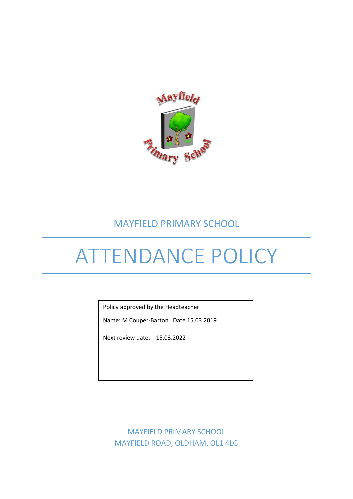

# MAYFIELD PRIMARY SCHOOL

# ATTENDANCE POLICY

Policy approved by the Headteacher

Name: M Couper-Barton Date 15.03.2019

Next review date: 15.03.2022

MAYFIELD PRIMARY SCHOOL MAYFIELD ROAD, OLDHAM, OL1 4LG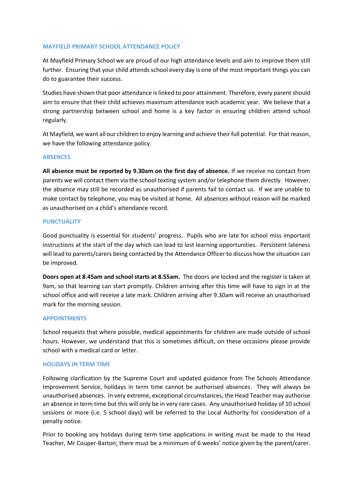# **MAYFIELD PRIMARY SCHOOL ATTENDANCE POLICY**

At Mayfield Primary School we are proud of our high attendance levels and aim to improve them still further. Ensuring that your child attends school every day is one of the most important things you can do to guarantee their success.

Studies have shown that poor attendance is linked to poor attainment. Therefore, every parentshould aim to ensure that their child achieves maximum attendance each academic year. We believe that a strong partnership between school and home is a key factor in ensuring children attend school regularly.

At Mayfield, we want all our children to enjoy learning and achieve their full potential. For that reason, we have the following attendance policy.

# **ABSENCES**

**All absence must be reported by 9.30am on the first day of absence.** If we receive no contact from parents we will contact them via the school texting system and/or telephone them directly. However, the absence may still be recorded as unauthorised if parents fail to contact us. If we are unable to make contact by telephone, you may be visited at home. All absences without reason will be marked as unauthorised on a child's attendance record.

# **PUNCTUALITY**

Good punctuality is essential for students' progress. Pupils who are late for school miss important instructions at the start of the day which can lead to lost learning opportunities. Persistent lateness will lead to parents/carers being contacted by the Attendance Officer to discuss how the situation can be improved.

**Doors open at 8.45am and school starts at 8.55am.** The doors are locked and the register is taken at 9am, so that learning can start promptly. Children arriving after this time will have to sign in at the school office and will receive a late mark. Children arriving after 9.30am will receive an unauthorised mark for the morning session.

#### **APPOINTMENTS**

School requests that where possible, medical appointments for children are made outside of school hours. However, we understand that this is sometimes difficult, on these occasions please provide school with a medical card or letter.

#### **HOLIDAYS IN TERM TIME**

Following clarification by the Supreme Court and updated guidance from The Schools Attendance Improvement Service, holidays in term time cannot be authorised absences. They will always be unauthorised absences. In very extreme, exceptional circumstances, the Head Teacher may authorise an absence in term time but this will only be in very rare cases. Any unauthorised holiday of 10 school sessions or more (i.e. 5 school days) will be referred to the Local Authority for consideration of a penalty notice.

Prior to booking any holidays during term time applications in writing must be made to the Head Teacher, Mr Couper-Barton; there must be a minimum of 6 weeks' notice given by the parent/carer.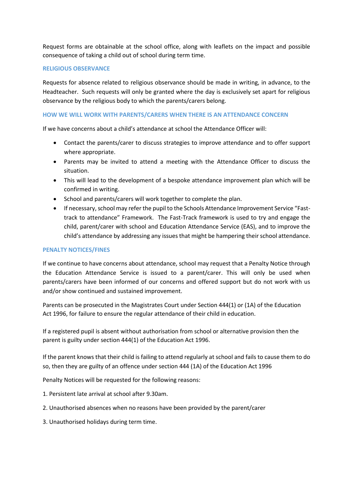Request forms are obtainable at the school office, along with leaflets on the impact and possible consequence of taking a child out of school during term time.

# **RELIGIOUS OBSERVANCE**

Requests for absence related to religious observance should be made in writing, in advance, to the Headteacher. Such requests will only be granted where the day is exclusively set apart for religious observance by the religious body to which the parents/carers belong.

# **HOW WE WILL WORK WITH PARENTS/CARERS WHEN THERE IS AN ATTENDANCE CONCERN**

If we have concerns about a child's attendance at school the Attendance Officer will:

- Contact the parents/carer to discuss strategies to improve attendance and to offer support where appropriate.
- Parents may be invited to attend a meeting with the Attendance Officer to discuss the situation.
- This will lead to the development of a bespoke attendance improvement plan which will be confirmed in writing.
- School and parents/carers will work together to complete the plan.
- If necessary, school may refer the pupil to the Schools Attendance Improvement Service "Fasttrack to attendance" Framework. The Fast-Track framework is used to try and engage the child, parent/carer with school and Education Attendance Service (EAS), and to improve the child's attendance by addressing any issues that might be hampering their school attendance.

# **PENALTY NOTICES/FINES**

If we continue to have concerns about attendance, school may request that a Penalty Notice through the Education Attendance Service is issued to a parent/carer. This will only be used when parents/carers have been informed of our concerns and offered support but do not work with us and/or show continued and sustained improvement.

Parents can be prosecuted in the Magistrates Court under Section 444(1) or (1A) of the Education Act 1996, for failure to ensure the regular attendance of their child in education.

If a registered pupil is absent without authorisation from school or alternative provision then the parent is guilty under section 444(1) of the Education Act 1996.

If the parent knows that their child is failing to attend regularly at school and fails to cause them to do so, then they are guilty of an offence under section 444 (1A) of the Education Act 1996

Penalty Notices will be requested for the following reasons:

1. Persistent late arrival at school after 9.30am.

- 2. Unauthorised absences when no reasons have been provided by the parent/carer
- 3. Unauthorised holidays during term time.